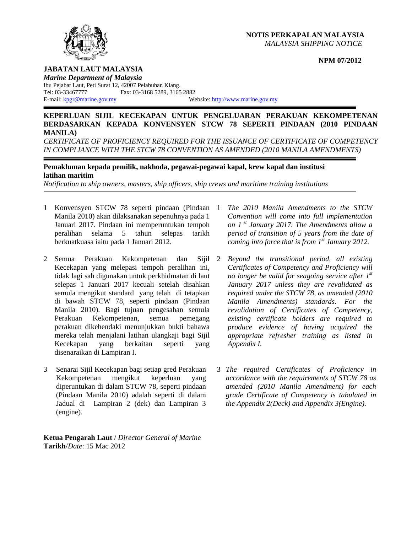### **NOTIS PERKAPALAN MALAYSIA**  *MALAYSIA SHIPPING NOTICE*

### **NPM 07/2012**



### **JABATAN LAUT MALAYSIA**

*Marine Department of Malaysia*  Ibu Pejabat Laut, Peti Surat 12, 42007 Pelabuhan Klang. Tel: 03-33467777 Fax: 03-3168 5289, 3165 2882 E-mail: <u>kpgr@marine.gov.my</u> Website: http://www.marine.gov.my

### **KEPERLUAN SIJIL KECEKAPAN UNTUK PENGELUARAN PERAKUAN KEKOMPETENAN BERDASARKAN KEPADA KONVENSYEN STCW 78 SEPERTI PINDAAN (2010 PINDAAN MANILA)**

*CERTIFICATE OF PROFICIENCY REQUIRED FOR THE ISSUANCE OF CERTIFICATE OF COMPETENCY*  IN COMPLIANCE WITH THE STCW 78 CONVENTION AS AMENDED (2010 MANILA AMENDMENTS)

# **Pemakluman kepada pemilik, nakhoda, pegawai-pegawai kapal, krew kapal dan institusi latihan maritim**

*Notification to ship owners, masters, ship officers, ship crews and maritime training institutions*

- 1 Konvensyen STCW 78 seperti pindaan (Pindaan Manila 2010) akan dilaksanakan sepenuhnya pada 1 Januari 2017. Pindaan ini memperuntukan tempoh peralihan selama 5 tahun selepas tarikh berkuatkuasa iaitu pada 1 Januari 2012.
- 2 Semua Perakuan Kekompetenan dan Sijil Kecekapan yang melepasi tempoh peralihan ini, tidak lagi sah digunakan untuk perkhidmatan di laut selepas 1 Januari 2017 kecuali setelah disahkan semula mengikut standard yang telah di tetapkan di bawah STCW 78, seperti pindaan (Pindaan Manila 2010). Bagi tujuan pengesahan semula Perakuan Kekompetenan, semua pemegang perakuan dikehendaki menunjukkan bukti bahawa mereka telah menjalani latihan ulangkaji bagi Sijil Kecekapan yang berkaitan seperti yang disenaraikan di Lampiran I.
- 3 Senarai Sijil Kecekapan bagi setiap gred Perakuan Kekompetenan mengikut keperluan yang diperuntukan di dalam STCW 78, seperti pindaan (Pindaan Manila 2010) adalah seperti di dalam Jadual di Lampiran 2 (dek) dan Lampiran 3 (engine).

**Ketua Pengarah Laut** / *Director General of Marine*  **Tarikh**/*Date*: 15 Mac 2012

- 1 *The 2010 Manila Amendments to the STCW Convention will come into full implementation on 1 st January 2017. The Amendments allow a period of transition of 5 years from the date of coming into force that is from 1st January 2012.*
- 2 *Beyond the transitional period, all existing Certificates of Competency and Proficiency will no longer be valid for seagoing service after 1st January 2017 unless they are revalidated as required under the STCW 78, as amended (2010 Manila Amendments) standards. For the revalidation of Certificates of Competency, existing certificate holders are required to produce evidence of having acquired the appropriate refresher training as listed in Appendix I.*
- 3 *The required Certificates of Proficiency in accordance with the requirements of STCW 78 as amended (2010 Manila Amendment) for each grade Certificate of Competency is tabulated in the Appendix 2(Deck) and Appendix 3(Engine).*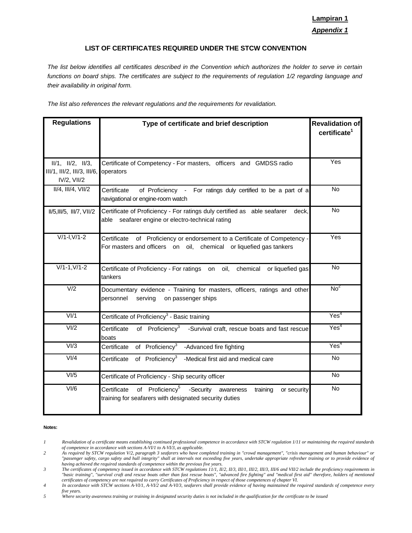# **Lampiran 1** *Appendix 1*

### **LIST OF CERTIFICATES REQUIRED UNDER THE STCW CONVENTION**

*The list below identifies all certificates described in the Convention which authorizes the holder to serve in certain*  functions on board ships. The certificates are subject to the requirements of regulation 1/2 regarding language and *their availability in original form.* 

*The list also references the relevant regulations and the requirements for revalidation.* 

| <b>Regulations</b>                                                       | Type of certificate and brief description                                                                                                              | <b>Revalidation of</b><br>certificate <sup>1</sup> |
|--------------------------------------------------------------------------|--------------------------------------------------------------------------------------------------------------------------------------------------------|----------------------------------------------------|
| $II/1$ , $II/2$ , $II/3$ ,<br>III/1, III/2, III/3, III/6,<br>IV/2, VII/2 | Certificate of Competency - For masters, officers and GMDSS radio<br>operators                                                                         | Yes                                                |
| $II/4$ , $III/4$ , $VII/2$                                               | Certificate<br>of Proficiency - For ratings duly certified to be a part of a<br>navigational or engine-room watch                                      | <b>No</b>                                          |
| II/5, III/5, III/7, VII/2                                                | Certificate of Proficiency - For ratings duly certified as able seafarer<br>deck,<br>seafarer engine or electro-technical rating<br>able               | <b>No</b>                                          |
| $V/1-I, V/1-2$                                                           | Certificate<br>of Proficiency or endorsement to a Certificate of Competency -<br>For masters and officers on oil, chemical or liquefied gas tankers    | Yes                                                |
| $V/1-1, V/1-2$                                                           | Certificate of Proficiency - For ratings on oil, chemical<br>or liquefied gas<br>tankers                                                               | <b>No</b>                                          |
| V/2                                                                      | Documentary evidence - Training for masters, officers, ratings and other<br>personnel<br>serving<br>on passenger ships                                 | No <sup>2</sup>                                    |
| V <sub>1</sub>                                                           | Certificate of Proficiency <sup>3</sup> - Basic training                                                                                               | Yes <sup>4</sup>                                   |
| VI/2                                                                     | of Proficiency <sup>3</sup><br>Certificate<br>-Survival craft, rescue boats and fast rescue<br>boats                                                   | Yes <sup>4</sup>                                   |
| V1/3                                                                     | of Proficiency <sup>3</sup><br>-Advanced fire fighting<br>Certificate                                                                                  | Yes <sup>4</sup>                                   |
| VI/4                                                                     | of Proficiency <sup>3</sup><br>Certificate<br>-Medical first aid and medical care                                                                      | <b>No</b>                                          |
| V1/5                                                                     | Certificate of Proficiency - Ship security officer                                                                                                     | No                                                 |
| $\overline{VI/6}$                                                        | of Proficiency <sup>5</sup><br>-Security awareness<br>Certificate<br>training<br>or security<br>training for seafarers with designated security duties | No                                                 |

#### **Notes:**

*<sup>1</sup> Revalidation of a certificate means establishing continued professional competence in accordance with STCW regulation 1/11 or maintaining the required standards of competence in accordance with sections A-VI/1 to A-VI/3, as applicable.* 

*<sup>2</sup> As required by STCW regulation V/2, paragraph 3 seafarers who have completed training in "crowd management", "crisis management and human behaviour" or "passenger safety, cargo safety and hull integrity" shall at intervals not exceeding five years, undertake appropriate refresher training or to provide evidence of having achieved the required standards of competence within the previous five years.* 

*<sup>3</sup> The certificates of competency issued in accordance with STCW regulations 11/1, II/2, II/3, III/1, III/2, III/3, III/6 and VII/2 include the proficiency requirements in "basic training", "survival craft and rescue boats other than fast rescue boats", "advanced fire fighting" and "medical first aid" therefore, holders of mentioned certificates of competency are not required to carry Certificates of Proficiency in respect of those competences of chapter VI.*

*<sup>4</sup> In accordance with STCW sections A-VI/1, A-VI/2 and A-VI/3, seafarers shall provide evidence of having maintained the required standards of competence every five years.* 

*<sup>5</sup> Where security awareness training or training in designated security duties is not included in the qualification for the certificate to be issued*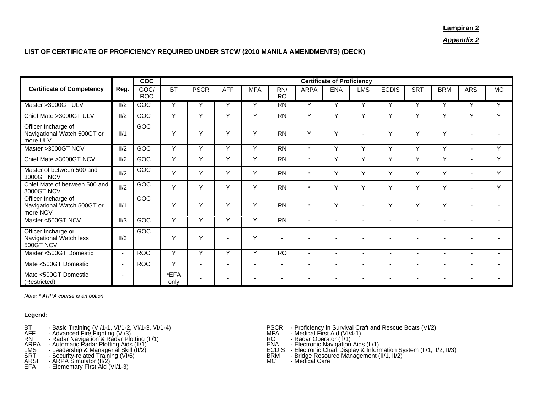#### **Lampiran 2**

*Appendix 2*

## **LIST OF CERTIFICATE OF PROFICIENCY REQUIRED UNDER STCW (2010 MANILA AMENDMENTS) (DECK)**

|                                                                |                          | $\overline{c}$     | <b>Certificate of Proficiency</b> |                          |                          |                |                  |                          |                          |                          |                          |                          |                          |                          |              |
|----------------------------------------------------------------|--------------------------|--------------------|-----------------------------------|--------------------------|--------------------------|----------------|------------------|--------------------------|--------------------------|--------------------------|--------------------------|--------------------------|--------------------------|--------------------------|--------------|
| <b>Certificate of Competency</b>                               | Reg.                     | GOC/<br><b>ROC</b> | <b>BT</b>                         | <b>PSCR</b>              | <b>AFF</b>               | <b>MFA</b>     | RN/<br><b>RO</b> | <b>ARPA</b>              | <b>ENA</b>               | <b>LMS</b>               | <b>ECDIS</b>             | <b>SRT</b>               | <b>BRM</b>               | <b>ARSI</b>              | MC           |
| Master >3000GT ULV                                             | II/2                     | GOC                | Y                                 | Y                        | Y                        | Y              | <b>RN</b>        | Y                        | Y                        | Y                        | Y                        | Y                        | Y                        | Y                        | Y            |
| Chief Mate > 3000GT ULV                                        | II/2                     | GOC                | Y                                 | Y                        | Y                        | Y              | $\overline{RN}$  | Y                        | Y                        | Y                        | Y                        | Y                        | Y                        | Y                        | $\checkmark$ |
| Officer Incharge of<br>Navigational Watch 500GT or<br>more ULV | II/1                     | GOC                | $\checkmark$                      | Y                        | $\vee$                   | Y              | <b>RN</b>        | Υ                        | Y                        | $\blacksquare$           | Y                        | Y                        | Y                        |                          |              |
| Master >3000GT NCV                                             | II/2                     | GOC                | Y                                 | Y                        | $\checkmark$             | $\checkmark$   | <b>RN</b>        | $\star$                  | Y                        | Υ                        | Y                        | Y                        | Y                        |                          | $\checkmark$ |
| Chief Mate > 3000GT NCV                                        | II/2                     | GOC                | Y                                 | Y                        | Y                        | Y              | <b>RN</b>        | $\star$                  | Y                        | Y                        | Y                        | Y                        | Y                        | $\overline{\phantom{0}}$ | $\checkmark$ |
| Master of between 500 and<br>3000GT NCV                        | II/2                     | GOC                | Y                                 | Y                        | Y                        | Y              | <b>RN</b>        | $\star$                  | Y                        | Y                        | Y                        | Y                        | Y                        |                          | Y            |
| Chief Mate of between 500 and<br>3000GT NCV                    | II/2                     | GOC                | Y                                 | Y                        | Y                        | Y              | <b>RN</b>        | $\star$                  | Y                        | Y                        | Y                        | Y                        | Y                        |                          | Y            |
| Officer Incharge of<br>Navigational Watch 500GT or<br>more NCV | II/1                     | GOC                | Y                                 | Y                        | Y                        | Y              | <b>RN</b>        | $\star$                  | Y                        | $\overline{\phantom{a}}$ | Y                        | Y                        | Y                        |                          |              |
| Master <500GT NCV                                              | $\overline{II/3}$        | GOC                | Y                                 | Y                        | Y                        | Y              | $\overline{RN}$  | $\overline{\phantom{0}}$ |                          |                          |                          |                          |                          |                          |              |
| Officer Incharge or<br>Navigational Watch less<br>500GT NCV    | II/3                     | GOC                | $\checkmark$                      | Y                        |                          | $\vee$         |                  |                          |                          |                          |                          |                          |                          |                          |              |
| Master <500GT Domestic                                         | $\overline{\phantom{0}}$ | <b>ROC</b>         | $\vee$                            | Y                        | Y                        | Y              | <b>RO</b>        | $\overline{\phantom{a}}$ | $\overline{\phantom{0}}$ | $\overline{\phantom{a}}$ | $\overline{\phantom{a}}$ | $\overline{\phantom{0}}$ | $\overline{\phantom{a}}$ | $\overline{\phantom{a}}$ |              |
| Mate <500GT Domestic                                           | ÷.                       | <b>ROC</b>         | Y                                 | $\overline{\phantom{a}}$ | $\overline{\phantom{0}}$ | $\blacksquare$ |                  | $\overline{\phantom{0}}$ | $\overline{\phantom{0}}$ | $\overline{\phantom{a}}$ | $\overline{\phantom{0}}$ | $\overline{\phantom{0}}$ | ۰                        |                          |              |
| Mate <500GT Domestic<br>(Restricted)                           | $\overline{\phantom{a}}$ |                    | *EFA<br>only                      |                          |                          |                |                  |                          |                          | $\overline{\phantom{a}}$ |                          |                          |                          |                          |              |

*Note: \* ARPA course is an option* 

### **Legend:**

- 
- 
- 
- 
- 
- 
- 
- 
- 
- BT Basic Training (VI/1-1, VI/1-2, VI/1-3, VI/1-4)<br>
AFF Advanced Fire Fighting (VI/3)<br>
RN Radar Navigation & Radar Plotting (II/1)<br>
RN Radar Navigation & Radar Plotting (II/1)<br>
ARPA Automatic Radar Plotting Aids
	-
	-